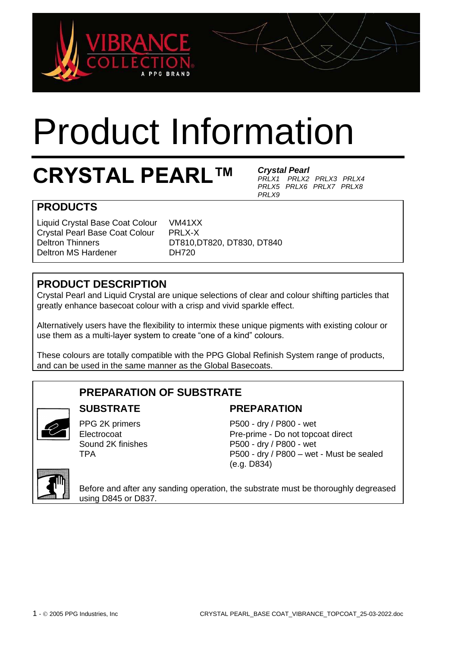

# Product Information

# **CRYSTAL PEARL™**

*Crystal Pearl PRLX1 PRLX2 PRLX3 PRLX4 PRLX5 PRLX6 PRLX7 PRLX8 PRLX9*

# **PRODUCTS**

Liquid Crystal Base Coat Colour VM41XX Crystal Pearl Base Coat Colour PRLX-X<br>Deltron Thinners DT810.D Deltron MS Hardener DH720

DT810,DT820, DT830, DT840

# **PRODUCT DESCRIPTION**

Crystal Pearl and Liquid Crystal are unique selections of clear and colour shifting particles that greatly enhance basecoat colour with a crisp and vivid sparkle effect.

Alternatively users have the flexibility to intermix these unique pigments with existing colour or use them as a multi-layer system to create "one of a kind" colours.

These colours are totally compatible with the PPG Global Refinish System range of products, and can be used in the same manner as the Global Basecoats.

# **PREPARATION OF SUBSTRATE**



# **SUBSTRATE**

PPG 2K primers **Electrocoat** Sound 2K finishes TPA

#### **PREPARATION**

P500 - dry / P800 - wet Pre-prime - Do not topcoat direct P500 - dry / P800 - wet P500 - dry / P800 – wet - Must be sealed (e.g. D834)



Before and after any sanding operation, the substrate must be thoroughly degreased using D845 or D837.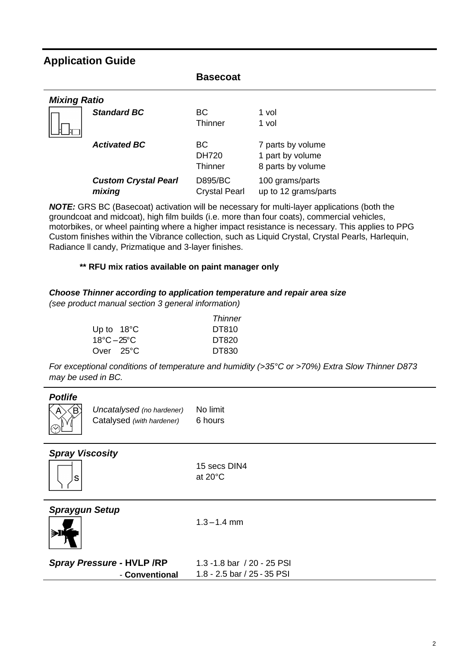# **Application Guide**

|                             | <b>Basecoat</b>      |                      |  |  |  |
|-----------------------------|----------------------|----------------------|--|--|--|
| <b>Mixing Ratio</b>         |                      |                      |  |  |  |
| <b>Standard BC</b>          | <b>BC</b>            | 1 vol                |  |  |  |
|                             | <b>Thinner</b>       | 1 vol                |  |  |  |
| <b>Activated BC</b>         | <b>BC</b>            | 7 parts by volume    |  |  |  |
|                             | <b>DH720</b>         | 1 part by volume     |  |  |  |
|                             | <b>Thinner</b>       | 8 parts by volume    |  |  |  |
| <b>Custom Crystal Pearl</b> | <b>D895/BC</b>       | 100 grams/parts      |  |  |  |
| mixing                      | <b>Crystal Pearl</b> | up to 12 grams/parts |  |  |  |

*NOTE:* GRS BC (Basecoat) activation will be necessary for multi-layer applications (both the groundcoat and midcoat), high film builds (i.e. more than four coats), commercial vehicles, motorbikes, or wheel painting where a higher impact resistance is necessary. This applies to PPG Custom finishes within the Vibrance collection, such as Liquid Crystal, Crystal Pearls, Harlequin, Radiance ll candy, Prizmatique and 3-layer finishes.

#### **\*\* RFU mix ratios available on paint manager only**

#### *Choose Thinner according to application temperature and repair area size*

*(see product manual section 3 general information)* 

|             |                      | Thinner |
|-------------|----------------------|---------|
|             | Up to $18^{\circ}$ C | DT810   |
| 18°C – 25°C |                      | DT820   |
|             | Over 25°C            | DT830   |

*For exceptional conditions of temperature and humidity (>35°C or >70%) Extra Slow Thinner D873 may be used in BC.*

#### *Potlife*



*Uncatalysed (no hardener)* Catalysed *(with hardener)* No limit 6 hours

#### *Spray Viscosity*



15 secs DIN4 at 20°C

*Spraygun Setup*

 $1.3 - 1.4$  mm

|--|

| <b>Spray Pressure - HVLP /RP</b> | 1.3 -1.8 bar / 20 - 25 PSI  |
|----------------------------------|-----------------------------|
| - Conventional                   | 1.8 - 2.5 bar / 25 - 35 PSI |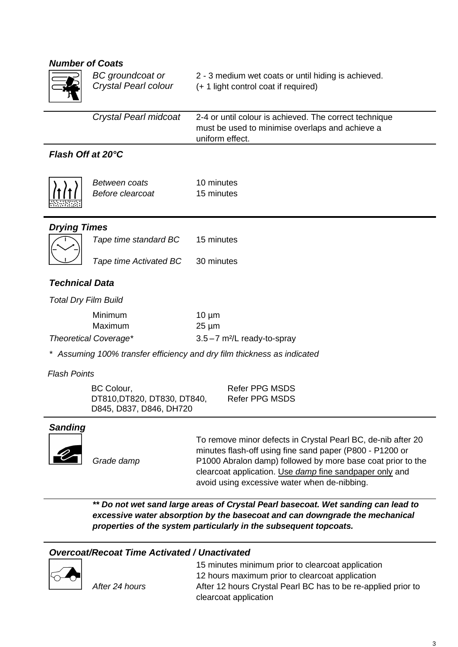#### *Number of Coats*

| <b>Number of Coats</b>      |                                                                      |                                                                                                                                                                                                                                                                                                    |  |
|-----------------------------|----------------------------------------------------------------------|----------------------------------------------------------------------------------------------------------------------------------------------------------------------------------------------------------------------------------------------------------------------------------------------------|--|
|                             | <b>BC</b> groundcoat or<br>Crystal Pearl colour                      | 2 - 3 medium wet coats or until hiding is achieved.<br>(+ 1 light control coat if required)                                                                                                                                                                                                        |  |
|                             | Crystal Pearl midcoat                                                | 2-4 or until colour is achieved. The correct technique<br>must be used to minimise overlaps and achieve a<br>uniform effect.                                                                                                                                                                       |  |
| Flash Off at 20°C           |                                                                      |                                                                                                                                                                                                                                                                                                    |  |
|                             | Between coats<br>Before clearcoat                                    | 10 minutes<br>15 minutes                                                                                                                                                                                                                                                                           |  |
| <b>Drying Times</b>         |                                                                      |                                                                                                                                                                                                                                                                                                    |  |
|                             | Tape time standard BC                                                | 15 minutes                                                                                                                                                                                                                                                                                         |  |
|                             | Tape time Activated BC                                               | 30 minutes                                                                                                                                                                                                                                                                                         |  |
| <b>Technical Data</b>       |                                                                      |                                                                                                                                                                                                                                                                                                    |  |
| <b>Total Dry Film Build</b> |                                                                      |                                                                                                                                                                                                                                                                                                    |  |
|                             | Minimum<br>Maximum                                                   | $10 \mu m$<br>$25 \mu m$                                                                                                                                                                                                                                                                           |  |
|                             | <b>Theoretical Coverage*</b>                                         | $3.5 - 7$ m <sup>2</sup> /L ready-to-spray                                                                                                                                                                                                                                                         |  |
|                             |                                                                      | * Assuming 100% transfer efficiency and dry film thickness as indicated                                                                                                                                                                                                                            |  |
| <b>Flash Points</b>         |                                                                      |                                                                                                                                                                                                                                                                                                    |  |
|                             | BC Colour,<br>DT810, DT820, DT830, DT840,<br>D845, D837, D846, DH720 | <b>Refer PPG MSDS</b><br><b>Refer PPG MSDS</b>                                                                                                                                                                                                                                                     |  |
| <b>Sanding</b>              |                                                                      |                                                                                                                                                                                                                                                                                                    |  |
|                             | Grade damp                                                           | To remove minor defects in Crystal Pearl BC, de-nib after 20<br>minutes flash-off using fine sand paper (P800 - P1200 or<br>P1000 Abralon damp) followed by more base coat prior to the<br>clearcoat application. Use damp fine sandpaper only and<br>avoid using excessive water when de-nibbing. |  |
|                             |                                                                      | ** Do not wet sand large areas of Crystal Pearl basecoat. Wet sanding can lead to<br>excessive water absorption by the basecoat and can downgrade the mechanical<br>properties of the system particularly in the subsequent topcoats.                                                              |  |

#### *Overcoat/Recoat Time Activated / Unactivated*



*After 24 hours*

15 minutes minimum prior to clearcoat application 12 hours maximum prior to clearcoat application After 12 hours Crystal Pearl BC has to be re-applied prior to clearcoat application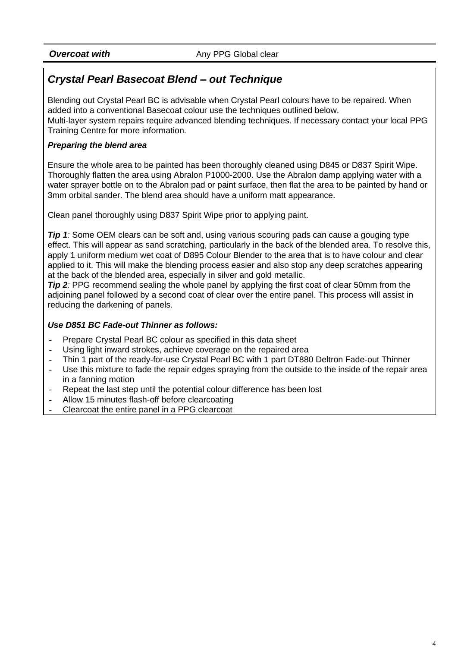# *Crystal Pearl Basecoat Blend – out Technique*

Blending out Crystal Pearl BC is advisable when Crystal Pearl colours have to be repaired. When added into a conventional Basecoat colour use the techniques outlined below. Multi-layer system repairs require advanced blending techniques. If necessary contact your local PPG Training Centre for more information.

#### *Preparing the blend area*

Ensure the whole area to be painted has been thoroughly cleaned using D845 or D837 Spirit Wipe. Thoroughly flatten the area using Abralon P1000-2000. Use the Abralon damp applying water with a water sprayer bottle on to the Abralon pad or paint surface, then flat the area to be painted by hand or 3mm orbital sander. The blend area should have a uniform matt appearance.

Clean panel thoroughly using D837 Spirit Wipe prior to applying paint.

*Tip 1:* Some OEM clears can be soft and, using various scouring pads can cause a gouging type effect. This will appear as sand scratching, particularly in the back of the blended area. To resolve this, apply 1 uniform medium wet coat of D895 Colour Blender to the area that is to have colour and clear applied to it. This will make the blending process easier and also stop any deep scratches appearing at the back of the blended area, especially in silver and gold metallic.

*Tip 2*: PPG recommend sealing the whole panel by applying the first coat of clear 50mm from the adjoining panel followed by a second coat of clear over the entire panel. This process will assist in reducing the darkening of panels.

#### *Use D851 BC Fade-out Thinner as follows:*

- Prepare Crystal Pearl BC colour as specified in this data sheet
- Using light inward strokes, achieve coverage on the repaired area
- Thin 1 part of the ready-for-use Crystal Pearl BC with 1 part DT880 Deltron Fade-out Thinner
- Use this mixture to fade the repair edges spraying from the outside to the inside of the repair area in a fanning motion
- Repeat the last step until the potential colour difference has been lost
- Allow 15 minutes flash-off before clearcoating
- Clearcoat the entire panel in a PPG clearcoat